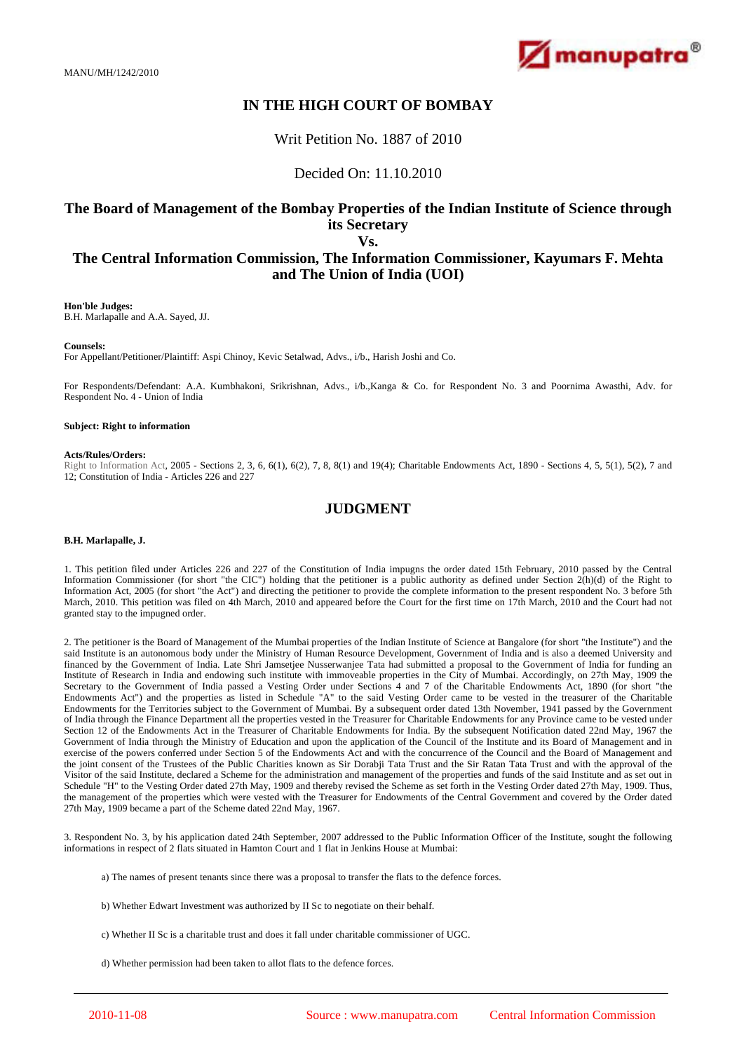MANU/MH/1242/2010



# **IN THE HIGH COURT OF BOMBAY**

Writ Petition No. 1887 of 2010

Decided On: 11.10.2010

### **The Board of Management of the Bombay Properties of the Indian Institute of Science through its Secretary Vs.**

## **The Central Information Commission, The Information Commissioner, Kayumars F. Mehta and The Union of India (UOI)**

**Hon'ble Judges:**

B.H. Marlapalle and A.A. Sayed, JJ.

### **Counsels:**

For Appellant/Petitioner/Plaintiff: Aspi Chinoy, Kevic Setalwad, Advs., i/b., Harish Joshi and Co.

For Respondents/Defendant: A.A. Kumbhakoni, Srikrishnan, Advs., i/b.,Kanga & Co. for Respondent No. 3 and Poornima Awasthi, Adv. for Respondent No. 4 - Union of India

#### **Subject: Right to information**

#### **Acts/Rules/Orders:**

Right to Information Act, 2005 - Sections 2, 3, 6, 6(1), 6(2), 7, 8, 8(1) and 19(4); Charitable Endowments Act, 1890 - Sections 4, 5, 5(1), 5(2), 7 and 12; Constitution of India - Articles 226 and 227

## **JUDGMENT**

### **B.H. Marlapalle, J.**

1. This petition filed under Articles 226 and 227 of the Constitution of India impugns the order dated 15th February, 2010 passed by the Central Information Commissioner (for short "the CIC") holding that the petitioner is a public authority as defined under Section 2(h)(d) of the Right to Information Act, 2005 (for short "the Act") and directing the petitioner to provide the complete information to the present respondent No. 3 before 5th March, 2010. This petition was filed on 4th March, 2010 and appeared before the Court for the first time on 17th March, 2010 and the Court had not granted stay to the impugned order.

2. The petitioner is the Board of Management of the Mumbai properties of the Indian Institute of Science at Bangalore (for short "the Institute") and the said Institute is an autonomous body under the Ministry of Human Resource Development, Government of India and is also a deemed University and financed by the Government of India. Late Shri Jamsetjee Nusserwanjee Tata had submitted a proposal to the Government of India for funding an Institute of Research in India and endowing such institute with immoveable properties in the City of Mumbai. Accordingly, on 27th May, 1909 the Secretary to the Government of India passed a Vesting Order under Sections 4 and 7 of the Charitable Endowments Act, 1890 (for short "the Endowments Act") and the properties as listed in Schedule "A" to the said Vesting Order came to be vested in the treasurer of the Charitable Endowments for the Territories subject to the Government of Mumbai. By a subsequent order dated 13th November, 1941 passed by the Government of India through the Finance Department all the properties vested in the Treasurer for Charitable Endowments for any Province came to be vested under Section 12 of the Endowments Act in the Treasurer of Charitable Endowments for India. By the subsequent Notification dated 22nd May, 1967 the Government of India through the Ministry of Education and upon the application of the Council of the Institute and its Board of Management and in exercise of the powers conferred under Section 5 of the Endowments Act and with the concurrence of the Council and the Board of Management and the joint consent of the Trustees of the Public Charities known as Sir Dorabji Tata Trust and the Sir Ratan Tata Trust and with the approval of the Visitor of the said Institute, declared a Scheme for the administration and management of the properties and funds of the said Institute and as set out in Schedule "H" to the Vesting Order dated 27th May, 1909 and thereby revised the Scheme as set forth in the Vesting Order dated 27th May, 1909. Thus, the management of the properties which were vested with the Treasurer for Endowments of the Central Government and covered by the Order dated 27th May, 1909 became a part of the Scheme dated 22nd May, 1967.

3. Respondent No. 3, by his application dated 24th September, 2007 addressed to the Public Information Officer of the Institute, sought the following informations in respect of 2 flats situated in Hamton Court and 1 flat in Jenkins House at Mumbai:

a) The names of present tenants since there was a proposal to transfer the flats to the defence forces.

- b) Whether Edwart Investment was authorized by II Sc to negotiate on their behalf.
- c) Whether II Sc is a charitable trust and does it fall under charitable commissioner of UGC.

d) Whether permission had been taken to allot flats to the defence forces.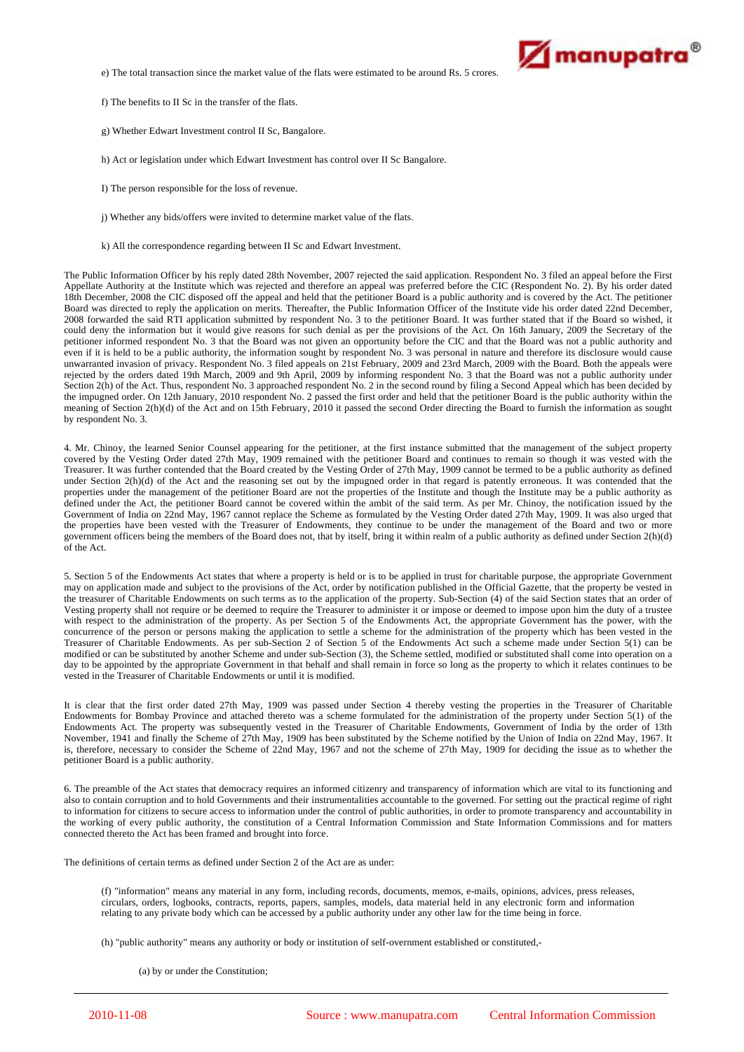

e) The total transaction since the market value of the flats were estimated to be around Rs. 5 crores.

f) The benefits to II Sc in the transfer of the flats.

g) Whether Edwart Investment control II Sc, Bangalore.

h) Act or legislation under which Edwart Investment has control over II Sc Bangalore.

- I) The person responsible for the loss of revenue.
- j) Whether any bids/offers were invited to determine market value of the flats.
- k) All the correspondence regarding between II Sc and Edwart Investment.

The Public Information Officer by his reply dated 28th November, 2007 rejected the said application. Respondent No. 3 filed an appeal before the First Appellate Authority at the Institute which was rejected and therefore an appeal was preferred before the CIC (Respondent No. 2). By his order dated 18th December, 2008 the CIC disposed off the appeal and held that the petitioner Board is a public authority and is covered by the Act. The petitioner Board was directed to reply the application on merits. Thereafter, the Public Information Officer of the Institute vide his order dated 22nd December, 2008 forwarded the said RTI application submitted by respondent No. 3 to the petitioner Board. It was further stated that if the Board so wished, it could deny the information but it would give reasons for such denial as per the provisions of the Act. On 16th January, 2009 the Secretary of the petitioner informed respondent No. 3 that the Board was not given an opportunity before the CIC and that the Board was not a public authority and performed respondent No. 3 that the Board was not given an opportunity befor even if it is held to be a public authority, the information sought by respondent No. 3 was personal in nature and therefore its disclosure would cause unwarranted invasion of privacy. Respondent No. 3 filed appeals on 21st February, 2009 and 23rd March, 2009 with the Board. Both the appeals were rejected by the orders dated 19th March, 2009 and 9th April, 2009 by informing respondent No. 3 that the Board was not a public authority under Section 2(h) of the Act. Thus, respondent No. 3 approached respondent No. 2 in the second round by filing a Second Appeal which has been decided by the impugned order. On 12th January, 2010 respondent No. 2 passed the first order and held that the petitioner Board is the public authority within the meaning of Section 2(h)(d) of the Act and on 15th February, 2010 it passed the second Order directing the Board to furnish the information as sought by respondent No. 3.

4. Mr. Chinoy, the learned Senior Counsel appearing for the petitioner, at the first instance submitted that the management of the subject property covered by the Vesting Order dated 27th May, 1909 remained with the petitioner Board and continues to remain so though it was vested with the Treasurer. It was further contended that the Board created by the Vesting Order of 27th May, 1909 cannot be termed to be a public authority as defined under Section 2(h)(d) of the Act and the reasoning set out by the impugned order in that regard is patently erroneous. It was contended that the properties under the management of the petitioner Board are not the properties of the Institute and though the Institute may be a public authority as defined under the Act, the petitioner Board cannot be covered within the ambit of the said term. As per Mr. Chinoy, the notification issued by the Government of India on 22nd May, 1967 cannot replace the Scheme as formulated by the Vesting Order dated 27th May, 1909. It was also urged that the properties have been vested with the Treasurer of Endowments, they continue to be under the management of the Board and two or more government officers being the members of the Board does not, that by itself, bring it within realm of a public authority as defined under Section 2(h)(d) of the Act.

5. Section 5 of the Endowments Act states that where a property is held or is to be applied in trust for charitable purpose, the appropriate Government may on application made and subject to the provisions of the Act, order by notification published in the Official Gazette, that the property be vested in the treasurer of Charitable Endowments on such terms as to the application of the property. Sub-Section (4) of the said Section states that an order of Vesting property shall not require or be deemed to require the Treasurer to administer it or impose or deemed to impose upon him the duty of a trustee with respect to the administration of the property. As per Section 5 of the Endowments Act, the appropriate Government has the power, with the concurrence of the person or persons making the application to settle a scheme for the administration of the property which has been vested in the Treasurer of Charitable Endowments. As per sub-Section 2 of Section 5 of the Endowments Act such a scheme made under Section 5(1) can be modified or can be substituted by another Scheme and under sub-Section (3), the Scheme settled, modified or substituted shall come into operation on a day to be appointed by the appropriate Government in that behalf and shall remain in force so long as the property to which it relates continues to be vested in the Treasurer of Charitable Endowments or until it is modified.

It is clear that the first order dated 27th May, 1909 was passed under Section 4 thereby vesting the properties in the Treasurer of Charitable Endowments for Bombay Province and attached thereto was a scheme formulated for the administration of the property under Section 5(1) of the Endowments Act. The property was subsequently vested in the Treasurer of Charitable Endowments, Government of India by the order of 13th November, 1941 and finally the Scheme of 27th May, 1909 has been substituted by the Scheme notified by the Union of India on 22nd May, 1967. It is, therefore, necessary to consider the Scheme of 22nd May, 1967 and not the scheme of 27th May, 1909 for deciding the issue as to whether the petitioner Board is a public authority.

6. The preamble of the Act states that democracy requires an informed citizenry and transparency of information which are vital to its functioning and also to contain corruption and to hold Governments and their instrumentalities accountable to the governed. For setting out the practical regime of right to information for citizens to secure access to information under the control of public authorities, in order to promote transparency and accountability in the working of every public authority, the constitution of a Central Information Commission and State Information Commissions and for matters connected thereto the Act has been framed and brought into force.

The definitions of certain terms as defined under Section 2 of the Act are as under:

(f) "information" means any material in any form, including records, documents, memos, e-mails, opinions, advices, press releases, circulars, orders, logbooks, contracts, reports, papers, samples, models, data material held in any electronic form and information relating to any private body which can be accessed by a public authority under any other law for the time being in force.

(h) "public authority" means any authority or body or institution of self-overnment established or constituted,-

(a) by or under the Constitution;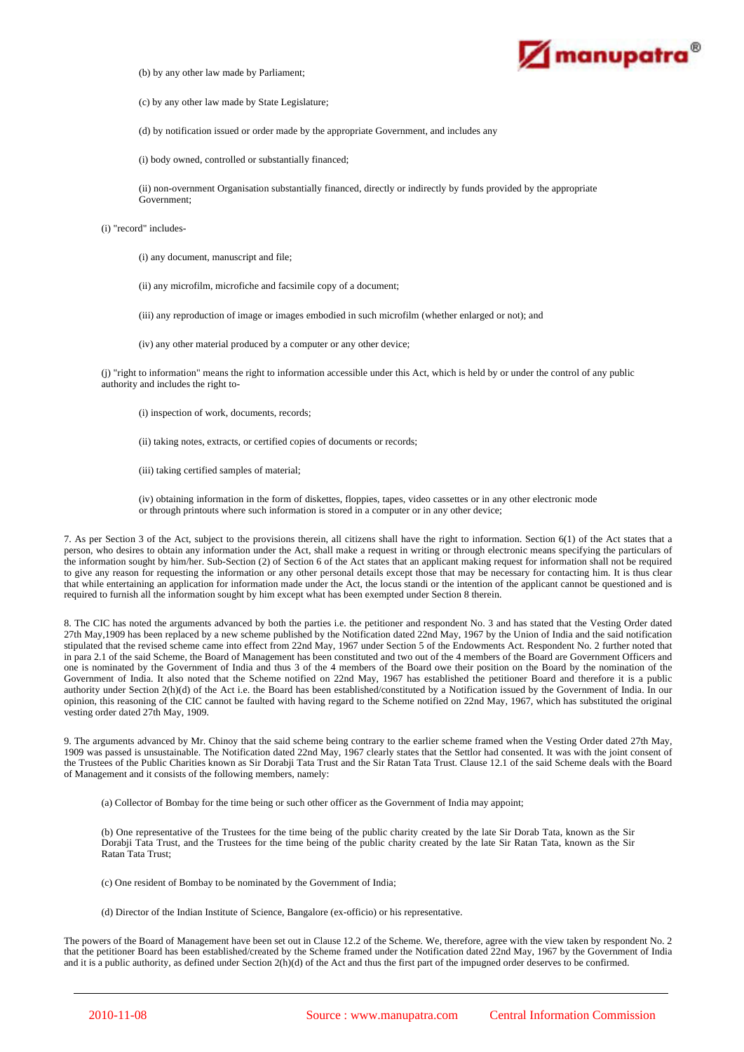

(b) by any other law made by Parliament;

(c) by any other law made by State Legislature;

(d) by notification issued or order made by the appropriate Government, and includes any

(i) body owned, controlled or substantially financed;

(ii) non-overnment Organisation substantially financed, directly or indirectly by funds provided by the appropriate Government;

#### (i) "record" includes-

(i) any document, manuscript and file;

(ii) any microfilm, microfiche and facsimile copy of a document;

(iii) any reproduction of image or images embodied in such microfilm (whether enlarged or not); and

(iv) any other material produced by a computer or any other device;

(j) "right to information" means the right to information accessible under this Act, which is held by or under the control of any public authority and includes the right to-

- (i) inspection of work, documents, records;
- (ii) taking notes, extracts, or certified copies of documents or records;
- (iii) taking certified samples of material;

(iv) obtaining information in the form of diskettes, floppies, tapes, video cassettes or in any other electronic mode or through printouts where such information is stored in a computer or in any other device;

7. As per Section 3 of the Act, subject to the provisions therein, all citizens shall have the right to information. Section 6(1) of the Act states that a person, who desires to obtain any information under the Act, shall make a request in writing or through electronic means specifying the particulars of the information sought by him/her. Sub-Section (2) of Section 6 of the Act states that an applicant making request for information shall not be required to give any reason for requesting the information or any other personal details except those that may be necessary for contacting him. It is thus clear that while entertaining an application for information made under the Act, the locus standi or the intention of the applicant cannot be questioned and is required to furnish all the information sought by him except what has been exempted under Section 8 therein.

8. The CIC has noted the arguments advanced by both the parties i.e. the petitioner and respondent No. 3 and has stated that the Vesting Order dated 27th May,1909 has been replaced by a new scheme published by the Notification dated 22nd May, 1967 by the Union of India and the said notification stipulated that the revised scheme came into effect from 22nd May, 1967 under Section 5 of the Endowments Act. Respondent No. 2 further noted that in para 2.1 of the said Scheme, the Board of Management has been constituted and two out of the 4 members of the Board are Government Officers and one is nominated by the Government of India and thus 3 of the 4 members of the Board owe their position on the Board by the nomination of the Government of India. It also noted that the Scheme notified on 22nd May, 1967 has established the petitioner Board and therefore it is a public authority under Section 2(h)(d) of the Act i.e. the Board has been established/constituted by a Notification issued by the Government of India. In our opinion, this reasoning of the CIC cannot be faulted with having regard to the Scheme notified on 22nd May, 1967, which has substituted the original vesting order dated 27th May, 1909.

9. The arguments advanced by Mr. Chinoy that the said scheme being contrary to the earlier scheme framed when the Vesting Order dated 27th May, 1909 was passed is unsustainable. The Notification dated 22nd May, 1967 clearly states that the Settlor had consented. It was with the joint consent of the Trustees of the Public Charities known as Sir Dorabji Tata Trust and the Sir Ratan Tata Trust. Clause 12.1 of the said Scheme deals with the Board of Management and it consists of the following members, namely:

(a) Collector of Bombay for the time being or such other officer as the Government of India may appoint;

(b) One representative of the Trustees for the time being of the public charity created by the late Sir Dorab Tata, known as the Sir Dorabji Tata Trust, and the Trustees for the time being of the public charity created by the late Sir Ratan Tata, known as the Sir Ratan Tata Trust;

- (c) One resident of Bombay to be nominated by the Government of India;
- (d) Director of the Indian Institute of Science, Bangalore (ex-officio) or his representative.

The powers of the Board of Management have been set out in Clause 12.2 of the Scheme. We, therefore, agree with the view taken by respondent No. 2 that the petitioner Board has been established/created by the Scheme framed under the Notification dated 22nd May, 1967 by the Government of India and it is a public authority, as defined under Section 2(h)(d) of the Act and thus the first part of the impugned order deserves to be confirmed.